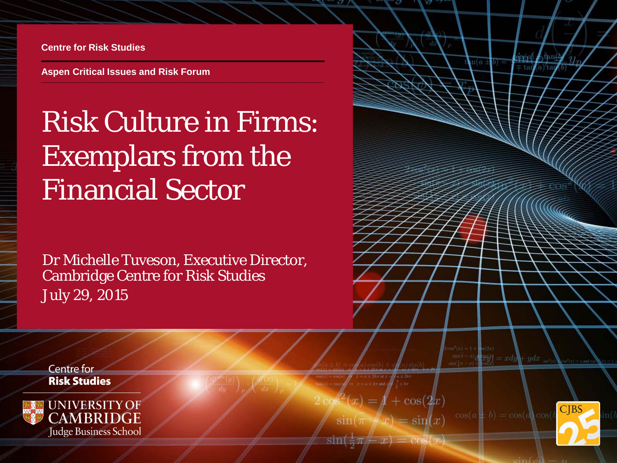**Centre for Risk Studies**

**Aspen Critical Issues and Risk Forum**

# Risk Culture in Firms: Exemplars from the Financial Sector

Dr Michelle Tuveson, Executive Director, Cambridge Centre for Risk Studies July 29, 2015

**Centre for Risk Studies** 



$$
2\cos^2(x) = 1 + \cos(2x)
$$

 $=$  sin(x)  $\sin(\pi$ 



 $\mathbb{E}[f] = x dy + y dx$ 

**ALLIN** 

 $(a)$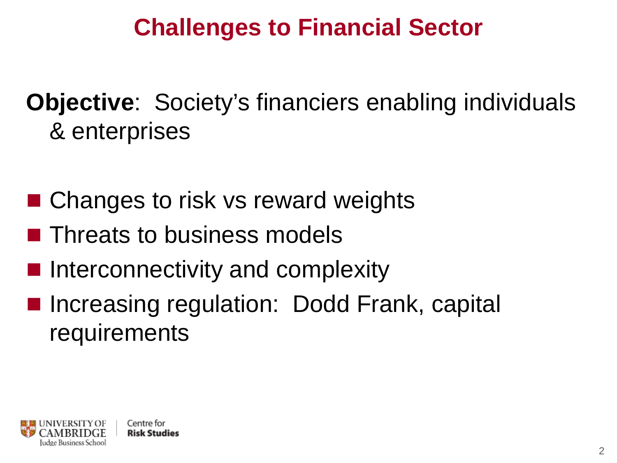## **Challenges to Financial Sector**

## **Objective**: Society's financiers enabling individuals & enterprises

- Changes to risk vs reward weights
- **Threats to business models**
- Interconnectivity and complexity
- Increasing regulation: Dodd Frank, capital requirements

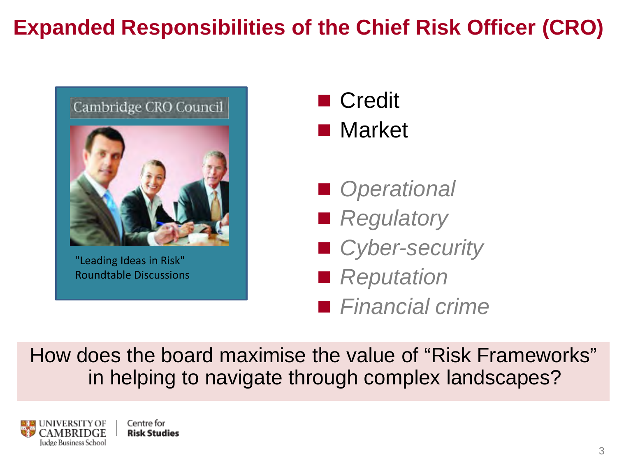#### **Expanded Responsibilities of the Chief Risk Officer (CRO)**



"Leading Ideas in Risk" Roundtable Discussions



- *Operational*
- Regulatory
- *Cyber-security*
- *Reputation*
- *Financial crime*

How does the board maximise the value of "Risk Frameworks" in helping to navigate through complex landscapes?

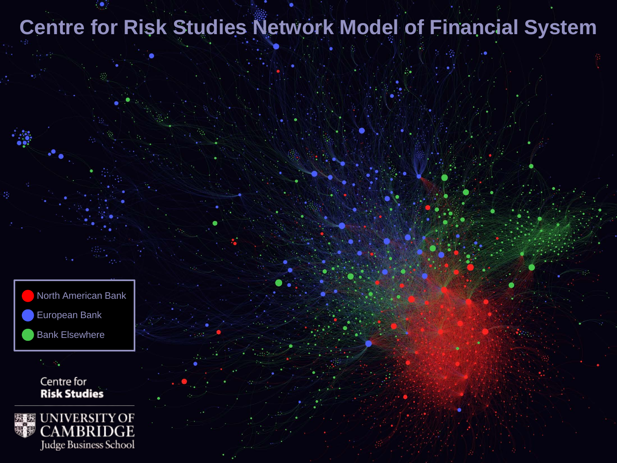#### **Centre for Risk Studies Network Model of Financial System**



Centre for **Risk Studies** 

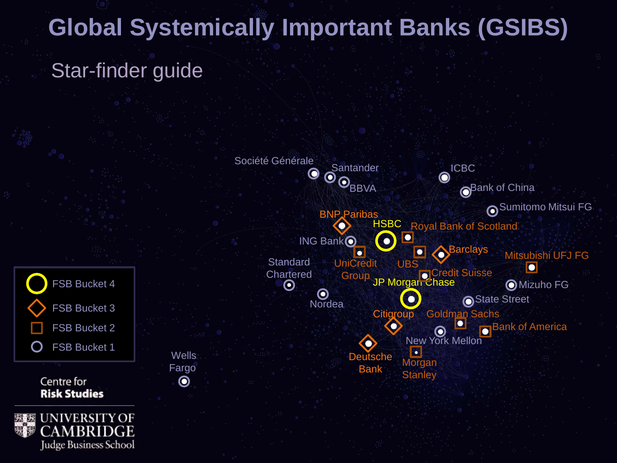# **Global Systemically Important Banks (GSIBS)**

#### Star-finder guide

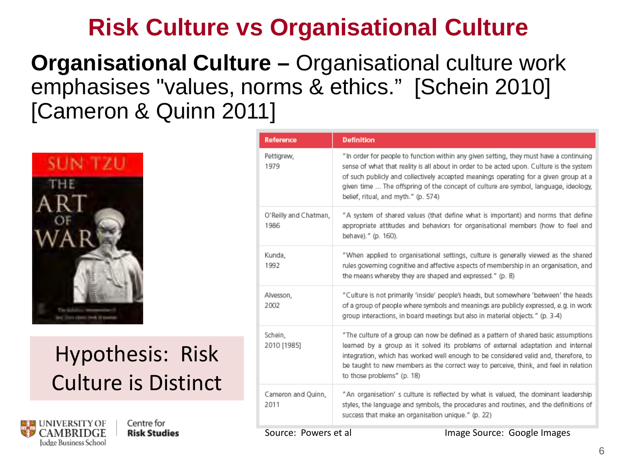#### **Risk Culture vs Organisational Culture**

#### **Organisational Culture –** Organisational culture work emphasises "values, norms & ethics." [Schein 2010] [Cameron & Quinn 2011]



#### Hypothesis: Risk Culture is Distinct



Centre for **Risk Studies** 

| <b>Reference</b>              | <b>Definition</b>                                                                                                                                                                                                                                                                                                                                                                                        |  |  |
|-------------------------------|----------------------------------------------------------------------------------------------------------------------------------------------------------------------------------------------------------------------------------------------------------------------------------------------------------------------------------------------------------------------------------------------------------|--|--|
| Pettigrew,<br>1979            | "In order for people to function within any given setting, they must have a continuing<br>sense of what that reality is all about in order to be acted upon. Culture is the system<br>of such publicly and collectively accepted meanings operating for a given group at a<br>given time  The offspring of the concept of culture are symbol, language, ideology,<br>belief, ritual, and myth." (p. 574) |  |  |
| O'Reilly and Chatman,<br>1986 | "A system of shared values (that define what is important) and norms that define<br>appropriate attitudes and behaviors for organisational members (how to feel and<br>behave)." (p. 160).                                                                                                                                                                                                               |  |  |
| Kunda,<br>1992                | "When applied to organisational settings, culture is generally viewed as the shared<br>rules governing cognitive and affective aspects of membership in an organisation, and<br>the means whereby they are shaped and expressed." (p. 8)                                                                                                                                                                 |  |  |
| Alvesson,<br>2002             | "Culture is not primarily 'inside' people's heads, but somewhere 'between' the heads<br>of a group of people where symbols and meanings are publicly expressed, e.g. in work<br>group interactions, in board meetings but also in material objects." (p. 3-4)                                                                                                                                            |  |  |
| Schein.<br>2010 [1985]        | "The culture of a group can now be defined as a pattern of shared basic assumptions<br>learned by a group as it solved its problems of external adaptation and internal<br>integration, which has worked well enough to be considered valid and, therefore, to<br>be taught to new members as the correct way to perceive, think, and feel in relation<br>to those problems" (p. 18)                     |  |  |
| Cameron and Quinn,<br>2011    | "An organisation' s culture is reflected by what is valued, the dominant leadership<br>styles, the language and symbols, the procedures and routines, and the definitions of<br>success that make an organisation unique." (p. 22)                                                                                                                                                                       |  |  |

Source: Powers et al **Image Source: Google Images**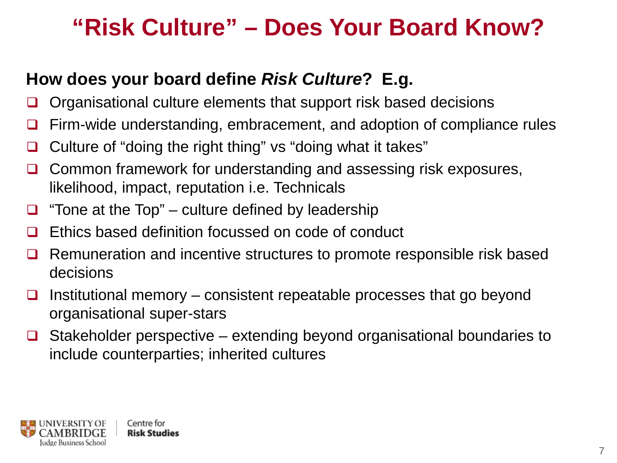#### **"Risk Culture" – Does Your Board Know?**

#### **How does your board define** *Risk Culture***? E.g.**

- Organisational culture elements that support risk based decisions
- Firm-wide understanding, embracement, and adoption of compliance rules
- □ Culture of "doing the right thing" vs "doing what it takes"
- $\Box$  Common framework for understanding and assessing risk exposures, likelihood, impact, reputation i.e. Technicals
- $\Box$  "Tone at the Top" culture defined by leadership
- $\Box$  Ethics based definition focussed on code of conduct
- $\Box$  Remuneration and incentive structures to promote responsible risk based decisions
- $\Box$  Institutional memory consistent repeatable processes that go beyond organisational super-stars
- $\Box$  Stakeholder perspective extending beyond organisational boundaries to include counterparties; inherited cultures

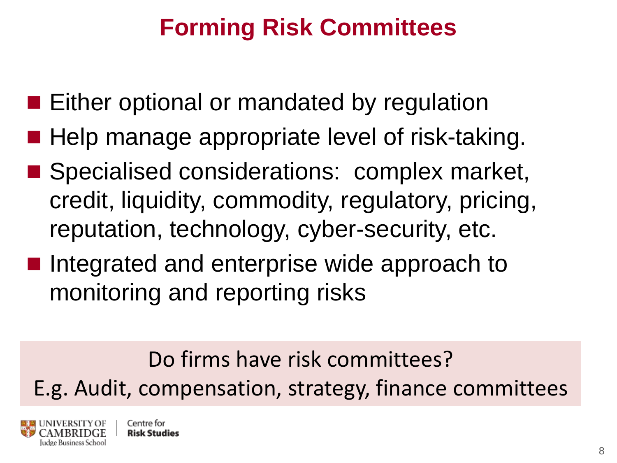## **Forming Risk Committees**

- **Either optional or mandated by regulation**
- Help manage appropriate level of risk-taking.
- Specialised considerations: complex market, credit, liquidity, commodity, regulatory, pricing, reputation, technology, cyber-security, etc.
- Integrated and enterprise wide approach to monitoring and reporting risks

Do firms have risk committees? E.g. Audit, compensation, strategy, finance committees

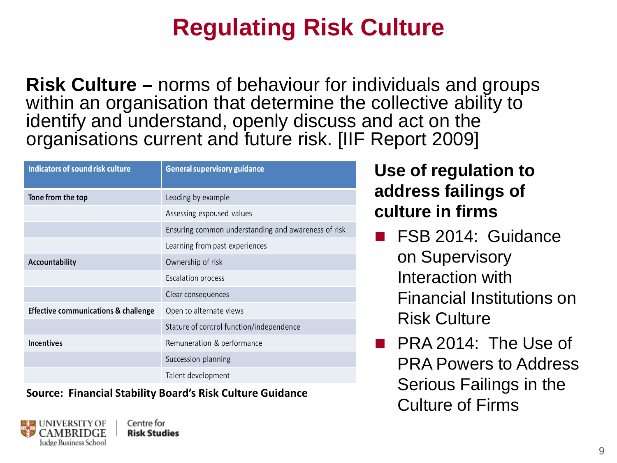## **Regulating Risk Culture**

**Risk Culture –** norms of behaviour for individuals and groups within an organisation that determine the collective ability to identify and understand, openly discuss and act on the organisations current and future risk. [IIF Report 2009]

| <b>Indicators of sound risk culture</b> | <b>General supervisory guidance</b>                 |  |  |
|-----------------------------------------|-----------------------------------------------------|--|--|
| Tone from the top                       | Leading by example                                  |  |  |
|                                         | Assessing espoused values                           |  |  |
|                                         | Ensuring common understanding and awareness of risk |  |  |
|                                         | Learning from past experiences                      |  |  |
| Accountability                          | Ownership of risk                                   |  |  |
|                                         | <b>Escalation process</b>                           |  |  |
|                                         | Clear consequences                                  |  |  |
| Effective communications & challenge    | Open to alternate views                             |  |  |
|                                         | Stature of control function/independence            |  |  |
| <b>Incentives</b>                       | Remuneration & performance                          |  |  |
|                                         | Succession planning                                 |  |  |
|                                         | Talent development                                  |  |  |

Source: Financial Stability Board's Risk Culture Guidance<br>Culture of Firms



**Use of regulation to address failings of culture in firms**

- **FSB 2014: Guidance** on Supervisory Interaction with Financial Institutions on Risk Culture
- **PRA 2014: The Use of** PRA Powers to Address Serious Failings in the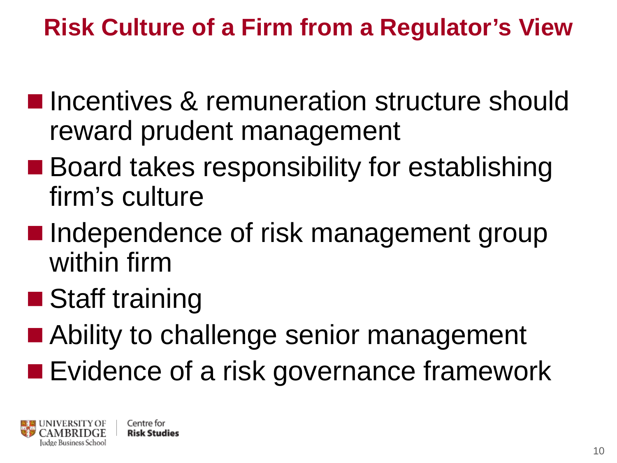## **Risk Culture of a Firm from a Regulator's View**

- **Incentives & remuneration structure should** reward prudent management
- **Board takes responsibility for establishing** firm's culture
- Independence of risk management group within firm
- Staff training
- Ability to challenge senior management
- **Exidence of a risk governance framework**

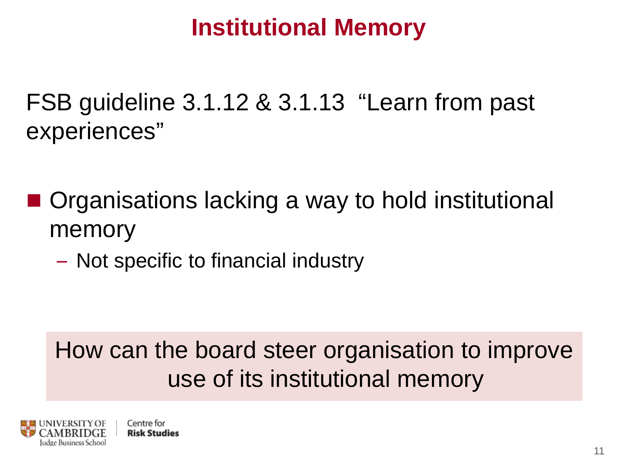#### **Institutional Memory**

FSB guideline 3.1.12 & 3.1.13 "Learn from past experiences"

- Organisations lacking a way to hold institutional memory
	- Not specific to financial industry

## How can the board steer organisation to improve use of its institutional memory

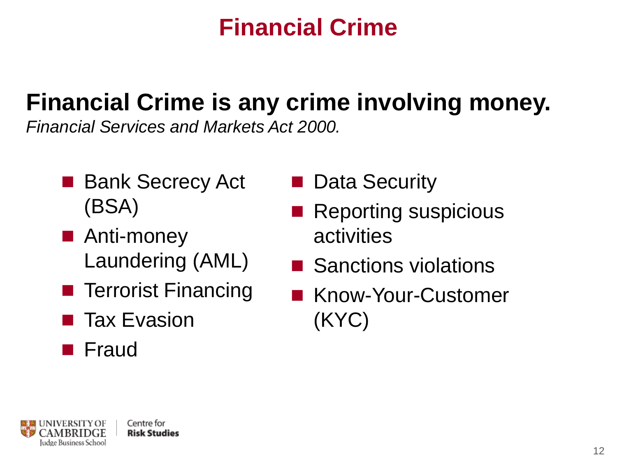## **Financial Crime**

# **Financial Crime is any crime involving money.**

*Financial Services and Markets Act 2000.* 

- Bank Secrecy Act (BSA)
- Anti-money Laundering (AML)
- **Terrorist Financing**
- Tax Evasion
- **Fraud**
- Data Security
- Reporting suspicious activities
- Sanctions violations
- Know-Your-Customer (KYC)

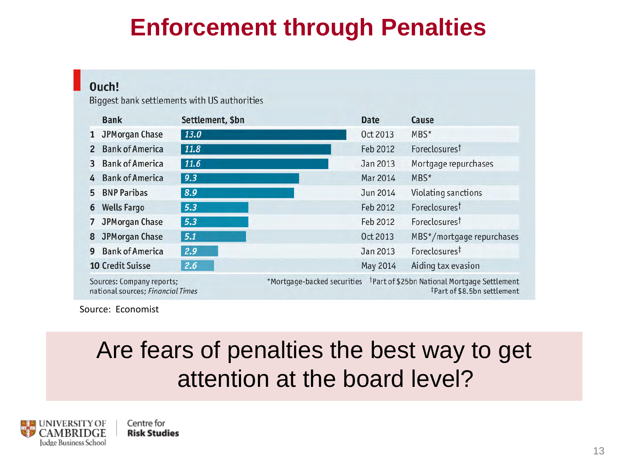## **Enforcement through Penalties**

#### Ouch!

Biggest bank settlements with US authorities

|              | <b>Bank</b>                                                    | Settlement, \$bn |                             | <b>Date</b> | Cause                                                                                   |
|--------------|----------------------------------------------------------------|------------------|-----------------------------|-------------|-----------------------------------------------------------------------------------------|
| $\mathbf{1}$ | <b>JPMorgan Chase</b>                                          | 13.0             |                             | Oct 2013    | MBS*                                                                                    |
| $\mathbf{2}$ | <b>Bank of America</b>                                         | 11.8             |                             | Feb 2012    | Foreclosurest                                                                           |
| 3            | <b>Bank of America</b>                                         | 11.6             |                             | Jan 2013    | Mortgage repurchases                                                                    |
| 4            | <b>Bank of America</b>                                         | 9.3              |                             | Mar 2014    | MBS*                                                                                    |
| 5            | <b>BNP Paribas</b>                                             | 8.9              |                             | Jun 2014    | Violating sanctions                                                                     |
| 6            | <b>Wells Fargo</b>                                             | 5.3              |                             | Feb 2012    | Foreclosures <sup>†</sup>                                                               |
|              | <b>JPMorgan Chase</b>                                          | 5.3              |                             | Feb 2012    | Foreclosurest                                                                           |
| 8            | JPMorgan Chase                                                 | 5.1              |                             | Oct 2013    | MBS*/mortgage repurchases                                                               |
| 9            | <b>Bank of America</b>                                         | 2.9              |                             | Jan 2013    | Foreclosures <sup>‡</sup>                                                               |
|              | <b>10 Credit Suisse</b>                                        | 2.6              |                             | May 2014    | Aiding tax evasion                                                                      |
|              | Sources: Company reports;<br>national sources; Financial Times |                  | *Mortgage-backed securities |             | <sup>t</sup> Part of \$25bn National Mortgage Settlement<br>‡Part of \$8.5bn settlement |

Source: Economist

#### Are fears of penalties the best way to get attention at the board level?



Centre for **Risk Studies**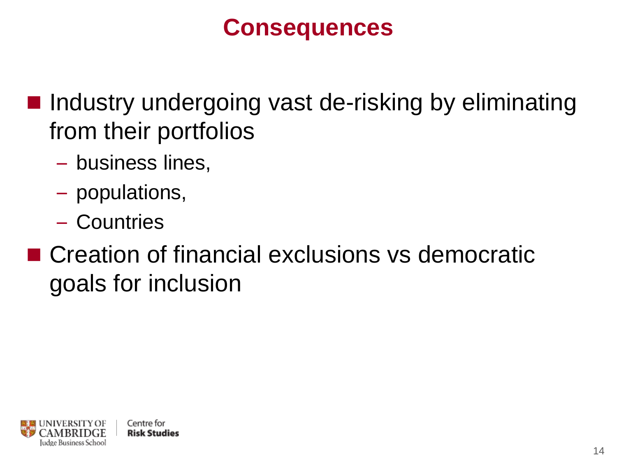#### **Consequences**

- $\blacksquare$  Industry undergoing vast de-risking by eliminating from their portfolios
	- business lines,
	- populations,
	- Countries
- Creation of financial exclusions vs democratic goals for inclusion

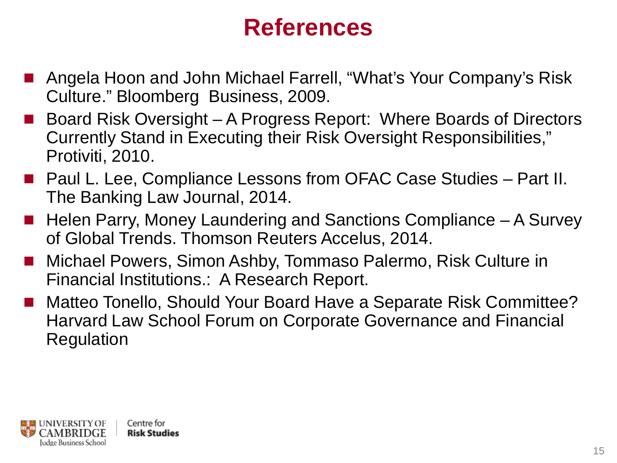#### **References**

- Angela Hoon and John Michael Farrell, "What's Your Company's Risk Culture." Bloomberg Business, 2009.
- Board Risk Oversight A Progress Report: Where Boards of Directors Currently Stand in Executing their Risk Oversight Responsibilities," Protiviti, 2010.
- Paul L. Lee, Compliance Lessons from OFAC Case Studies Part II. The Banking Law Journal, 2014.
- $\blacksquare$  Helen Parry, Money Laundering and Sanctions Compliance  $-$  A Survey of Global Trends. Thomson Reuters Accelus, 2014.
- Michael Powers, Simon Ashby, Tommaso Palermo, Risk Culture in Financial Institutions.: A Research Report.
- Matteo Tonello, Should Your Board Have a Separate Risk Committee? Harvard Law School Forum on Corporate Governance and Financial Regulation